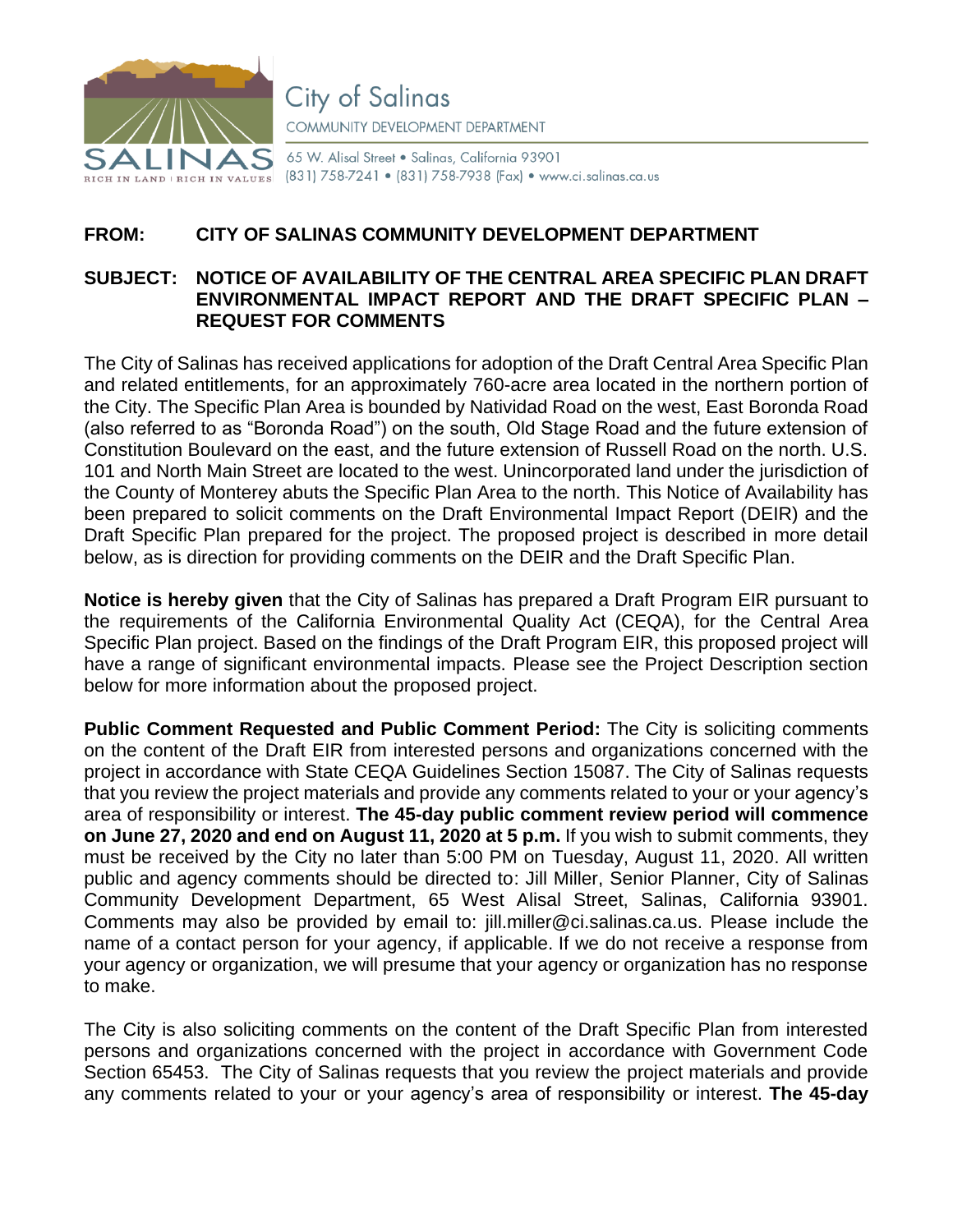

**City of Salinas** COMMUNITY DEVELOPMENT DEPARTMENT

65 W. Alisal Street . Salinas, California 93901 (831) 758-7241 • (831) 758-7938 (Fax) • www.ci.salinas.ca.us

## **FROM: CITY OF SALINAS COMMUNITY DEVELOPMENT DEPARTMENT**

## **SUBJECT: NOTICE OF AVAILABILITY OF THE CENTRAL AREA SPECIFIC PLAN DRAFT ENVIRONMENTAL IMPACT REPORT AND THE DRAFT SPECIFIC PLAN – REQUEST FOR COMMENTS**

The City of Salinas has received applications for adoption of the Draft Central Area Specific Plan and related entitlements, for an approximately 760-acre area located in the northern portion of the City. The Specific Plan Area is bounded by Natividad Road on the west, East Boronda Road (also referred to as "Boronda Road") on the south, Old Stage Road and the future extension of Constitution Boulevard on the east, and the future extension of Russell Road on the north. U.S. 101 and North Main Street are located to the west. Unincorporated land under the jurisdiction of the County of Monterey abuts the Specific Plan Area to the north. This Notice of Availability has been prepared to solicit comments on the Draft Environmental Impact Report (DEIR) and the Draft Specific Plan prepared for the project. The proposed project is described in more detail below, as is direction for providing comments on the DEIR and the Draft Specific Plan.

**Notice is hereby given** that the City of Salinas has prepared a Draft Program EIR pursuant to the requirements of the California Environmental Quality Act (CEQA), for the Central Area Specific Plan project. Based on the findings of the Draft Program EIR, this proposed project will have a range of significant environmental impacts. Please see the Project Description section below for more information about the proposed project.

**Public Comment Requested and Public Comment Period:** The City is soliciting comments on the content of the Draft EIR from interested persons and organizations concerned with the project in accordance with State CEQA Guidelines Section 15087. The City of Salinas requests that you review the project materials and provide any comments related to your or your agency's area of responsibility or interest. **The 45-day public comment review period will commence on June 27, 2020 and end on August 11, 2020 at 5 p.m.** If you wish to submit comments, they must be received by the City no later than 5:00 PM on Tuesday, August 11, 2020. All written public and agency comments should be directed to: Jill Miller, Senior Planner, City of Salinas Community Development Department, 65 West Alisal Street, Salinas, California 93901. Comments may also be provided by email to: jill.mille[r@ci.salinas.ca.us.](mailto:eda@ci.salinas.ca.us) Please include the name of a contact person for your agency, if applicable. If we do not receive a response from your agency or organization, we will presume that your agency or organization has no response to make.

The City is also soliciting comments on the content of the Draft Specific Plan from interested persons and organizations concerned with the project in accordance with Government Code Section 65453. The City of Salinas requests that you review the project materials and provide any comments related to your or your agency's area of responsibility or interest. **The 45-day**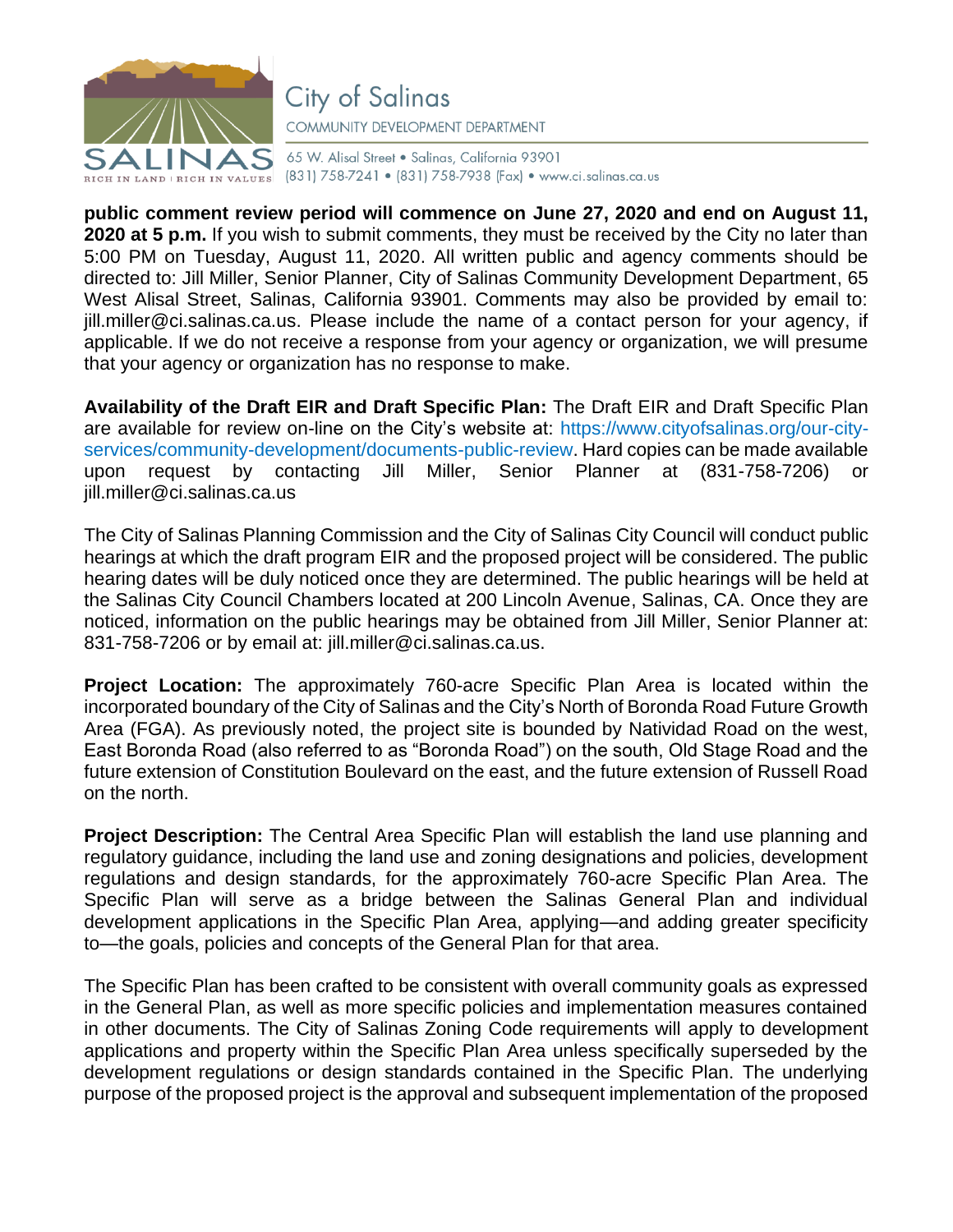

**City of Salinas** COMMUNITY DEVELOPMENT DEPARTMENT

65 W. Alisal Street . Salinas, California 93901 RIGH IN LAND | RIGH IN VALUES (831) 758-7241 • (831) 758-7938 (Fax) • www.ci.salinas.ca.us

**public comment review period will commence on June 27, 2020 and end on August 11, 2020 at 5 p.m.** If you wish to submit comments, they must be received by the City no later than 5:00 PM on Tuesday, August 11, 2020. All written public and agency comments should be directed to: Jill Miller, Senior Planner, City of Salinas Community Development Department, 65 West Alisal Street, Salinas, California 93901. Comments may also be provided by email to: jill.mille[r@ci.salinas.ca.us.](mailto:eda@ci.salinas.ca.us) Please include the name of a contact person for your agency, if applicable. If we do not receive a response from your agency or organization, we will presume that your agency or organization has no response to make.

**Availability of the Draft EIR and Draft Specific Plan:** The Draft EIR and Draft Specific Plan are available for review on-line on the City's website at: [https://www.cityofsalinas.org/our-city](https://www.cityofsalinas.org/our-city-services/community-development/documents-public-review)[services/community-development/documents-public-review.](https://www.cityofsalinas.org/our-city-services/community-development/documents-public-review) Hard copies can be made available upon request by contacting Jill Miller, Senior Planner at (831-758-7206) or jill.miller@ci.salinas.ca.us

The City of Salinas Planning Commission and the City of Salinas City Council will conduct public hearings at which the draft program EIR and the proposed project will be considered. The public hearing dates will be duly noticed once they are determined. The public hearings will be held at the Salinas City Council Chambers located at 200 Lincoln Avenue, Salinas, CA. Once they are noticed, information on the public hearings may be obtained from Jill Miller, Senior Planner at: 831-758-7206 or by email at: jill.mille[r@ci.salinas.ca.us.](mailto:eda@ci.salinas.ca.us)

**Project Location:** The approximately 760-acre Specific Plan Area is located within the incorporated boundary of the City of Salinas and the City's North of Boronda Road Future Growth Area (FGA). As previously noted, the project site is bounded by Natividad Road on the west, East Boronda Road (also referred to as "Boronda Road") on the south, Old Stage Road and the future extension of Constitution Boulevard on the east, and the future extension of Russell Road on the north.

**Project Description:** The Central Area Specific Plan will establish the land use planning and regulatory guidance, including the land use and zoning designations and policies, development regulations and design standards, for the approximately 760-acre Specific Plan Area. The Specific Plan will serve as a bridge between the Salinas General Plan and individual development applications in the Specific Plan Area, applying—and adding greater specificity to—the goals, policies and concepts of the General Plan for that area.

The Specific Plan has been crafted to be consistent with overall community goals as expressed in the General Plan, as well as more specific policies and implementation measures contained in other documents. The City of Salinas Zoning Code requirements will apply to development applications and property within the Specific Plan Area unless specifically superseded by the development regulations or design standards contained in the Specific Plan. The underlying purpose of the proposed project is the approval and subsequent implementation of the proposed